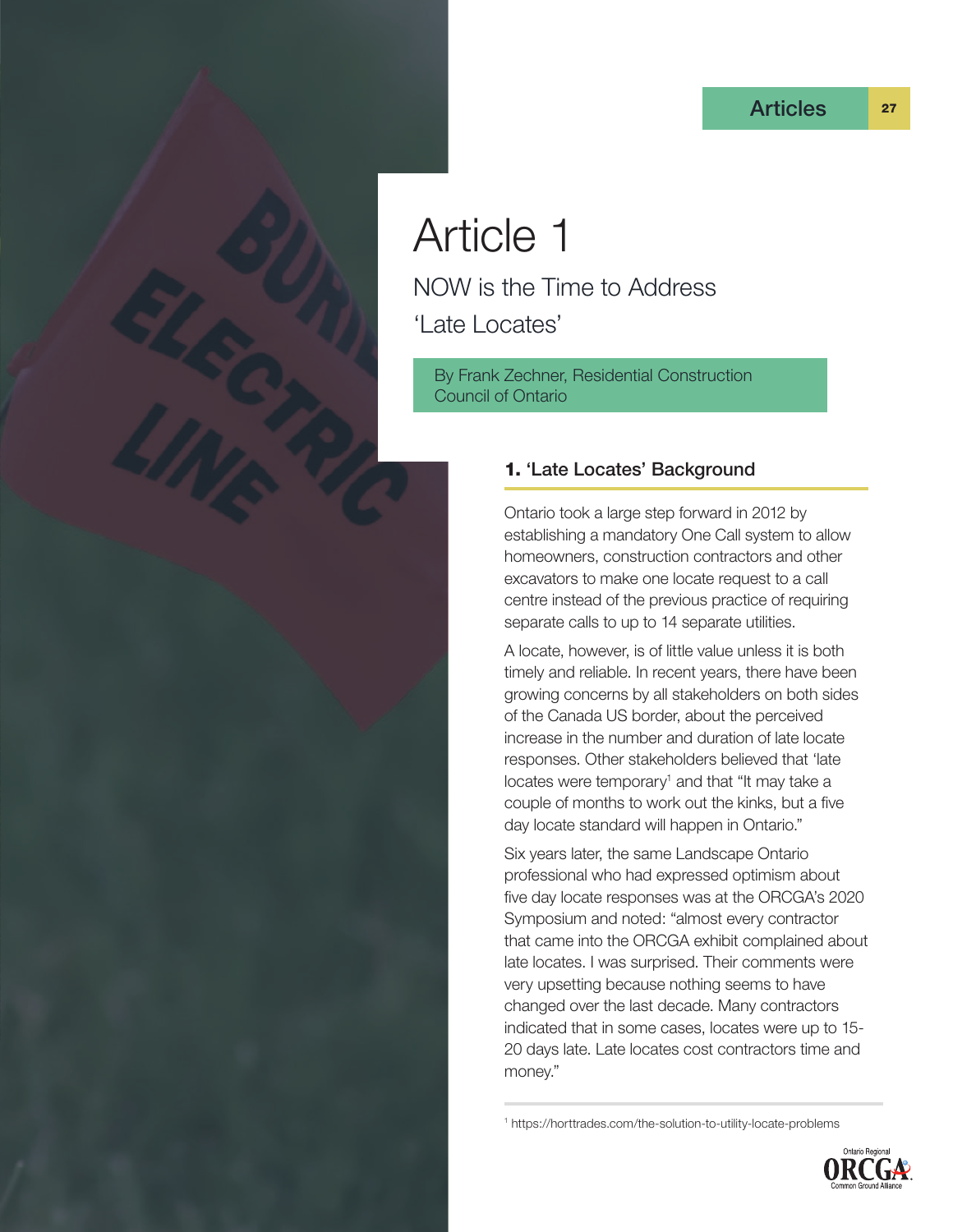# Article 1

NOW is the Time to Address 'Late Locates'

By Frank Zechner, Residential Construction Council of Ontario

## 1. 'Late Locates' Background

Ontario took a large step forward in 2012 by establishing a mandatory One Call system to allow homeowners, construction contractors and other excavators to make one locate request to a call centre instead of the previous practice of requiring separate calls to up to 14 separate utilities.

A locate, however, is of little value unless it is both timely and reliable. In recent years, there have been growing concerns by all stakeholders on both sides of the Canada US border, about the perceived increase in the number and duration of late locate responses. Other stakeholders believed that 'late locates were temporary<sup>1</sup> and that "It may take a couple of months to work out the kinks, but a five day locate standard will happen in Ontario."

Six years later, the same Landscape Ontario professional who had expressed optimism about five day locate responses was at the ORCGA's 2020 Symposium and noted: "almost every contractor that came into the ORCGA exhibit complained about late locates. I was surprised. Their comments were very upsetting because nothing seems to have changed over the last decade. Many contractors indicated that in some cases, locates were up to 15- 20 days late. Late locates cost contractors time and money."

1 https://horttrades.com/the-solution-to-utility-locate-problems

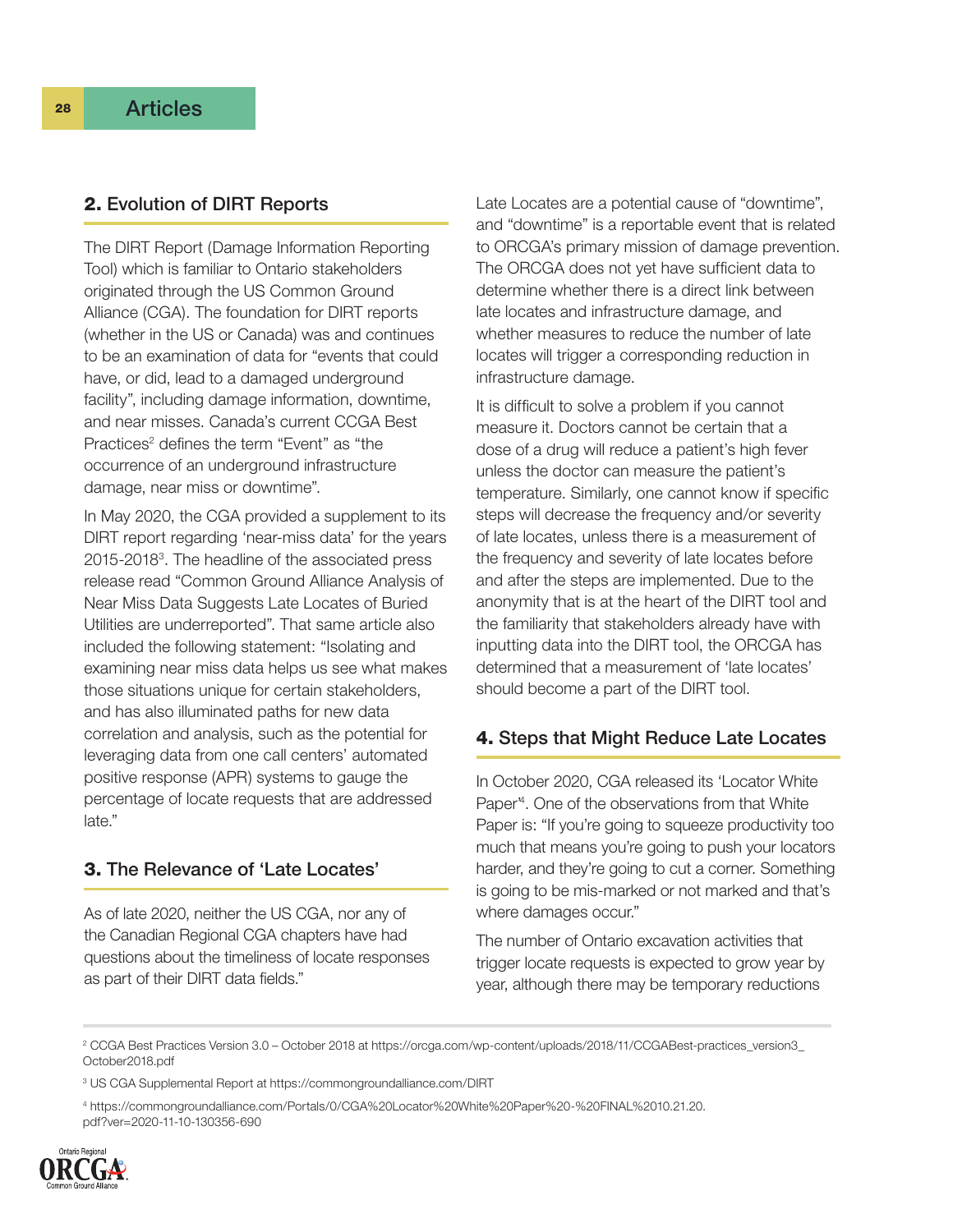#### 2. Evolution of DIRT Reports

The DIRT Report (Damage Information Reporting Tool) which is familiar to Ontario stakeholders originated through the US Common Ground Alliance (CGA). The foundation for DIRT reports (whether in the US or Canada) was and continues to be an examination of data for "events that could have, or did, lead to a damaged underground facility", including damage information, downtime, and near misses. Canada's current CCGA Best Practices<sup>2</sup> defines the term "Event" as "the occurrence of an underground infrastructure damage, near miss or downtime".

In May 2020, the CGA provided a supplement to its DIRT report regarding 'near-miss data' for the years 2015-20183 . The headline of the associated press release read "Common Ground Alliance Analysis of Near Miss Data Suggests Late Locates of Buried Utilities are underreported". That same article also included the following statement: "Isolating and examining near miss data helps us see what makes those situations unique for certain stakeholders, and has also illuminated paths for new data correlation and analysis, such as the potential for leveraging data from one call centers' automated positive response (APR) systems to gauge the percentage of locate requests that are addressed late."

#### 3. The Relevance of 'Late Locates'

As of late 2020, neither the US CGA, nor any of the Canadian Regional CGA chapters have had questions about the timeliness of locate responses as part of their DIRT data fields."

Late Locates are a potential cause of "downtime", and "downtime" is a reportable event that is related to ORCGA's primary mission of damage prevention. The ORCGA does not yet have sufficient data to determine whether there is a direct link between late locates and infrastructure damage, and whether measures to reduce the number of late locates will trigger a corresponding reduction in infrastructure damage.

It is difficult to solve a problem if you cannot measure it. Doctors cannot be certain that a dose of a drug will reduce a patient's high fever unless the doctor can measure the patient's temperature. Similarly, one cannot know if specific steps will decrease the frequency and/or severity of late locates, unless there is a measurement of the frequency and severity of late locates before and after the steps are implemented. Due to the anonymity that is at the heart of the DIRT tool and the familiarity that stakeholders already have with inputting data into the DIRT tool, the ORCGA has determined that a measurement of 'late locates' should become a part of the DIRT tool.

#### 4. Steps that Might Reduce Late Locates

In October 2020, CGA released its 'Locator White Paper'4 . One of the observations from that White Paper is: "If you're going to squeeze productivity too much that means you're going to push your locators harder, and they're going to cut a corner. Something is going to be mis-marked or not marked and that's where damages occur."

The number of Ontario excavation activities that trigger locate requests is expected to grow year by year, although there may be temporary reductions

4 https://commongroundalliance.com/Portals/0/CGA%20Locator%20White%20Paper%20-%20FINAL%2010.21.20. pdf?ver=2020-11-10-130356-690



<sup>2</sup> CCGA Best Practices Version 3.0 – October 2018 at https://orcga.com/wp-content/uploads/2018/11/CCGABest-practices\_version3\_ October2018.pdf

<sup>3</sup> US CGA Supplemental Report at https://commongroundalliance.com/DIRT